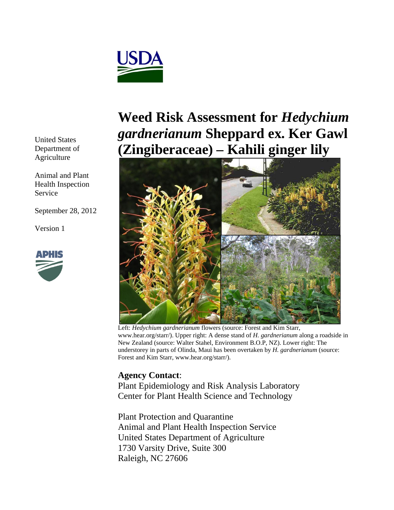

United States Department of Agriculture

Animal and Plant Health Inspection Service

September 28, 2012

Version 1



## **Weed Risk Assessment for** *Hedychium gardnerianum* **Sheppard ex. Ker Gawl (Zingiberaceae) – Kahili ginger lily**



Left: *Hedychium gardnerianum* flowers (source: Forest and Kim Starr, www.hear.org/starr/). Upper right: A dense stand of *H. gardnerianum* along a roadside in New Zealand (source: Walter Stahel, Environment B.O.P, NZ). Lower right: The understorey in parts of Olinda, Maui has been overtaken by *H. gardnerianum* (source: Forest and Kim Starr, www.hear.org/starr/).

## **Agency Contact**:

Plant Epidemiology and Risk Analysis Laboratory Center for Plant Health Science and Technology

Plant Protection and Quarantine Animal and Plant Health Inspection Service United States Department of Agriculture 1730 Varsity Drive, Suite 300 Raleigh, NC 27606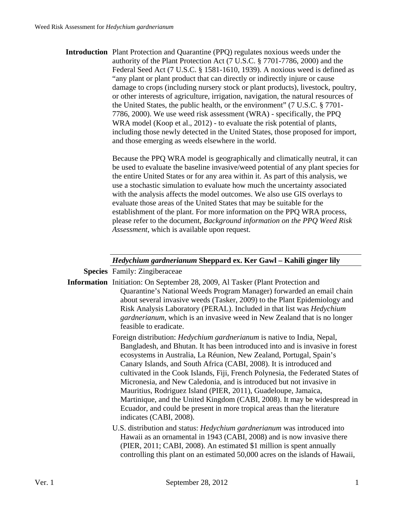**Introduction** Plant Protection and Quarantine (PPQ) regulates noxious weeds under the authority of the Plant Protection Act (7 U.S.C. § 7701-7786, 2000) and the Federal Seed Act (7 U.S.C. § 1581-1610, 1939). A noxious weed is defined as "any plant or plant product that can directly or indirectly injure or cause damage to crops (including nursery stock or plant products), livestock, poultry, or other interests of agriculture, irrigation, navigation, the natural resources of the United States, the public health, or the environment" (7 U.S.C. § 7701- 7786, 2000). We use weed risk assessment (WRA) - specifically, the PPQ WRA model (Koop et al., 2012) - to evaluate the risk potential of plants, including those newly detected in the United States, those proposed for import, and those emerging as weeds elsewhere in the world.

> Because the PPQ WRA model is geographically and climatically neutral, it can be used to evaluate the baseline invasive/weed potential of any plant species for the entire United States or for any area within it. As part of this analysis, we use a stochastic simulation to evaluate how much the uncertainty associated with the analysis affects the model outcomes. We also use GIS overlays to evaluate those areas of the United States that may be suitable for the establishment of the plant. For more information on the PPQ WRA process, please refer to the document, *Background information on the PPQ Weed Risk Assessment*, which is available upon request.

## *Hedychium gardnerianum* **Sheppard ex. Ker Gawl – Kahili ginger lily**

**Species** Family: Zingiberaceae

- **Information** Initiation: On September 28, 2009, Al Tasker (Plant Protection and Quarantine's National Weeds Program Manager) forwarded an email chain about several invasive weeds (Tasker, 2009) to the Plant Epidemiology and Risk Analysis Laboratory (PERAL). Included in that list was *Hedychium gardnerianum*, which is an invasive weed in New Zealand that is no longer feasible to eradicate.
	- Foreign distribution: *Hedychium gardnerianum* is native to India, Nepal, Bangladesh, and Bhutan. It has been introduced into and is invasive in forest ecosystems in Australia, La Réunion, New Zealand, Portugal, Spain's Canary Islands, and South Africa (CABI, 2008). It is introduced and cultivated in the Cook Islands, Fiji, French Polynesia, the Federated States of Micronesia, and New Caledonia, and is introduced but not invasive in Mauritius, Rodriguez Island (PIER, 2011), Guadeloupe, Jamaica, Martinique, and the United Kingdom (CABI, 2008). It may be widespread in Ecuador, and could be present in more tropical areas than the literature indicates (CABI, 2008).
	- U.S. distribution and status: *Hedychium gardnerianum* was introduced into Hawaii as an ornamental in 1943 (CABI, 2008) and is now invasive there (PIER, 2011; CABI, 2008). An estimated \$1 million is spent annually controlling this plant on an estimated 50,000 acres on the islands of Hawaii,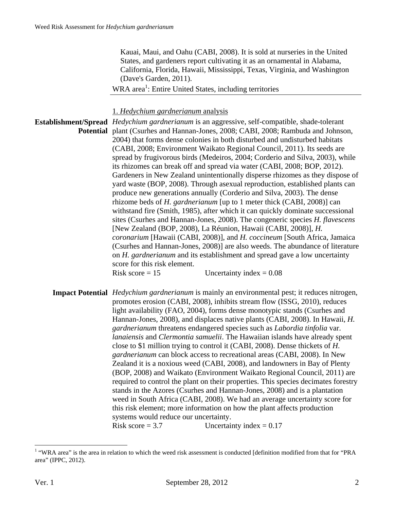Kauai, Maui, and Oahu (CABI, 2008). It is sold at nurseries in the United States, and gardeners report cultivating it as an ornamental in Alabama, California, Florida, Hawaii, Mississippi, Texas, Virginia, and Washington (Dave's Garden, 2011).

WRA area<sup>1</sup>: Entire United States, including territories

1. *Hedychium gardnerianum* analysis

**Establishment/Spread**  *Hedychium gardnerianum* is an aggressive, self-compatible, shade-tolerant Potential plant (Csurhes and Hannan-Jones, 2008; CABI, 2008; Rambuda and Johnson, 2004) that forms dense colonies in both disturbed and undisturbed habitats (CABI, 2008; Environment Waikato Regional Council, 2011). Its seeds are spread by frugivorous birds (Medeiros, 2004; Corderio and Silva, 2003), while its rhizomes can break off and spread via water (CABI, 2008; BOP, 2012). Gardeners in New Zealand unintentionally disperse rhizomes as they dispose of yard waste (BOP, 2008). Through asexual reproduction, established plants can produce new generations annually (Corderio and Silva, 2003). The dense rhizome beds of *H. gardnerianum* [up to 1 meter thick (CABI, 2008)] can withstand fire (Smith, 1985), after which it can quickly dominate successional sites (Csurhes and Hannan-Jones, 2008). The congeneric species *H. flavescens* [New Zealand (BOP, 2008), La Réunion, Hawaii (CABI, 2008)], *H. coronarium* [Hawaii (CABI, 2008)], and *H. coccineum* [South Africa, Jamaica (Csurhes and Hannan-Jones, 2008)] are also weeds. The abundance of literature on *H. gardnerianum* and its establishment and spread gave a low uncertainty score for this risk element. Risk score  $= 15$  Uncertainty index  $= 0.08$ 

**Impact Potential** *Hedychium gardnerianum* is mainly an environmental pest; it reduces nitrogen, promotes erosion (CABI, 2008), inhibits stream flow (ISSG, 2010), reduces light availability (FAO, 2004), forms dense monotypic stands (Csurhes and Hannan-Jones, 2008), and displaces native plants (CABI, 2008). In Hawaii, *H. gardnerianum* threatens endangered species such as *Labordia tinfolia* var. *lanaiensis* and *Clermontia samuelii*. The Hawaiian islands have already spent close to \$1 million trying to control it (CABI, 2008). Dense thickets of *H. gardnerianum* can block access to recreational areas (CABI, 2008). In New Zealand it is a noxious weed (CABI, 2008), and landowners in Bay of Plenty (BOP, 2008) and Waikato (Environment Waikato Regional Council, 2011) are required to control the plant on their properties. This species decimates forestry stands in the Azores (Csurhes and Hannan-Jones, 2008) and is a plantation weed in South Africa (CABI, 2008). We had an average uncertainty score for this risk element; more information on how the plant affects production systems would reduce our uncertainty. Risk score  $= 3.7$  Uncertainty index  $= 0.17$ 

 $\overline{a}$ 

<sup>&</sup>lt;sup>1</sup> "WRA area" is the area in relation to which the weed risk assessment is conducted [definition modified from that for "PRA area" (IPPC, 2012).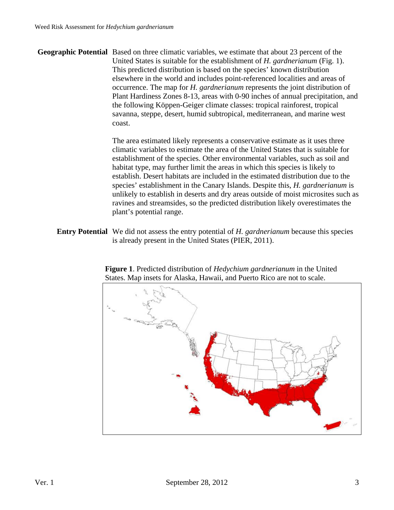**Geographic Potential** Based on three climatic variables, we estimate that about 23 percent of the United States is suitable for the establishment of *H. gardnerianum* (Fig. 1). This predicted distribution is based on the species' known distribution elsewhere in the world and includes point-referenced localities and areas of occurrence. The map for *H. gardnerianum* represents the joint distribution of Plant Hardiness Zones 8-13, areas with 0-90 inches of annual precipitation, and the following Köppen-Geiger climate classes: tropical rainforest, tropical savanna, steppe, desert, humid subtropical, mediterranean, and marine west coast.

> The area estimated likely represents a conservative estimate as it uses three climatic variables to estimate the area of the United States that is suitable for establishment of the species. Other environmental variables, such as soil and habitat type, may further limit the areas in which this species is likely to establish. Desert habitats are included in the estimated distribution due to the species' establishment in the Canary Islands. Despite this, *H. gardnerianum* is unlikely to establish in deserts and dry areas outside of moist microsites such as ravines and streamsides, so the predicted distribution likely overestimates the plant's potential range.

**Entry Potential** We did not assess the entry potential of *H. gardnerianum* because this species is already present in the United States (PIER, 2011).



**Figure 1**. Predicted distribution of *Hedychium gardnerianum* in the United States. Map insets for Alaska, Hawaii, and Puerto Rico are not to scale.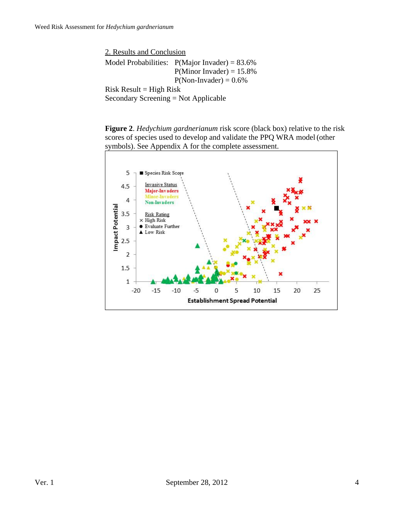2. Results and Conclusion Model Probabilities:  $P(Major Invader) = 83.6%$  $P(Minor Invader) = 15.8%$  $P(Non- Invader) = 0.6%$  $Risk Result = High Risk$ Secondary Screening = Not Applicable

**Figure 2**. *Hedychium gardnerianum* risk score (black box) relative to the risk scores of species used to develop and validate the PPQ WRA model (other symbols). See Appendix A for the complete assessment.

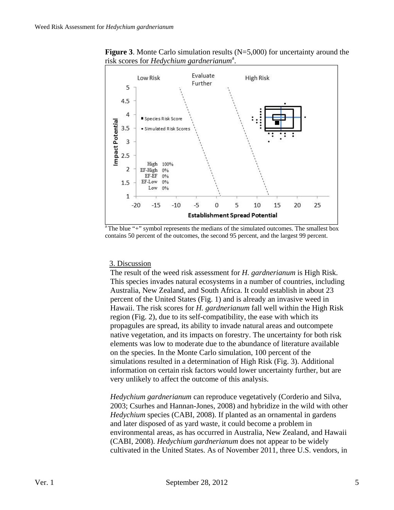

**Figure 3**. Monte Carlo simulation results (N=5,000) for uncertainty around the risk scores for *Hedychium gardnerianum*<sup>a</sup>.

The blue " $+$ " symbol represents the medians of the simulated outcomes. The smallest box contains 50 percent of the outcomes, the second 95 percent, and the largest 99 percent.

## 3. Discussion

The result of the weed risk assessment for *H. gardnerianum* is High Risk. This species invades natural ecosystems in a number of countries, including Australia, New Zealand, and South Africa. It could establish in about 23 percent of the United States (Fig. 1) and is already an invasive weed in Hawaii. The risk scores for *H. gardnerianum* fall well within the High Risk region (Fig. 2), due to its self-compatibility, the ease with which its propagules are spread, its ability to invade natural areas and outcompete native vegetation, and its impacts on forestry. The uncertainty for both risk elements was low to moderate due to the abundance of literature available on the species. In the Monte Carlo simulation, 100 percent of the simulations resulted in a determination of High Risk (Fig. 3). Additional information on certain risk factors would lower uncertainty further, but are very unlikely to affect the outcome of this analysis.

*Hedychium gardnerianum* can reproduce vegetatively (Corderio and Silva, 2003; Csurhes and Hannan-Jones, 2008) and hybridize in the wild with other *Hedychium* species (CABI, 2008). If planted as an ornamental in gardens and later disposed of as yard waste, it could become a problem in environmental areas, as has occurred in Australia, New Zealand, and Hawaii (CABI, 2008). *Hedychium gardnerianum* does not appear to be widely cultivated in the United States. As of November 2011, three U.S. vendors, in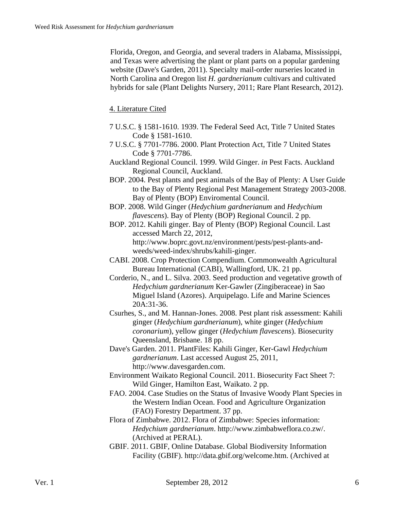Florida, Oregon, and Georgia, and several traders in Alabama, Mississippi, and Texas were advertising the plant or plant parts on a popular gardening website (Dave's Garden, 2011). Specialty mail-order nurseries located in North Carolina and Oregon list *H. gardnerianum* cultivars and cultivated hybrids for sale (Plant Delights Nursery, 2011; Rare Plant Research, 2012).

4. Literature Cited

- 7 U.S.C. § 1581-1610. 1939. The Federal Seed Act, Title 7 United States Code § 1581-1610.
- 7 U.S.C. § 7701-7786. 2000. Plant Protection Act, Title 7 United States Code § 7701-7786.
- Auckland Regional Council. 1999. Wild Ginger. *in* Pest Facts. Auckland Regional Council, Auckland.
- BOP. 2004. Pest plants and pest animals of the Bay of Plenty: A User Guide to the Bay of Plenty Regional Pest Management Strategy 2003-2008. Bay of Plenty (BOP) Enviromental Council.
- BOP. 2008. Wild Ginger (*Hedychium gardnerianum* and *Hedychium flavescens*). Bay of Plenty (BOP) Regional Council. 2 pp.
- BOP. 2012. Kahili ginger. Bay of Plenty (BOP) Regional Council. Last accessed March 22, 2012, http://www.boprc.govt.nz/environment/pests/pest-plants-andweeds/weed-index/shrubs/kahili-ginger.
- CABI. 2008. Crop Protection Compendium. Commonwealth Agricultural Bureau International (CABI), Wallingford, UK. 21 pp.
- Corderio, N., and L. Silva. 2003. Seed production and vegetative growth of *Hedychium gardnerianum* Ker-Gawler (Zingiberaceae) in Sao Miguel Island (Azores). Arquipelago. Life and Marine Sciences 20A:31-36.
- Csurhes, S., and M. Hannan-Jones. 2008. Pest plant risk assessment: Kahili ginger (*Hedychium gardnerianum*), white ginger (*Hedychium coronarium*), yellow ginger (*Hedychium flavescens*). Biosecurity Queensland, Brisbane. 18 pp.
- Dave's Garden. 2011. PlantFiles: Kahili Ginger, Ker-Gawl *Hedychium gardnerianum*. Last accessed August 25, 2011, http://www.davesgarden.com.
- Environment Waikato Regional Council. 2011. Biosecurity Fact Sheet 7: Wild Ginger, Hamilton East, Waikato. 2 pp.
- FAO. 2004. Case Studies on the Status of Invasive Woody Plant Species in the Western Indian Ocean. Food and Agriculture Organization (FAO) Forestry Department. 37 pp.
- Flora of Zimbabwe. 2012. Flora of Zimbabwe: Species information: *Hedychium gardnerianum*. http://www.zimbabweflora.co.zw/. (Archived at PERAL).
- GBIF. 2011. GBIF, Online Database. Global Biodiversity Information Facility (GBIF). http://data.gbif.org/welcome.htm. (Archived at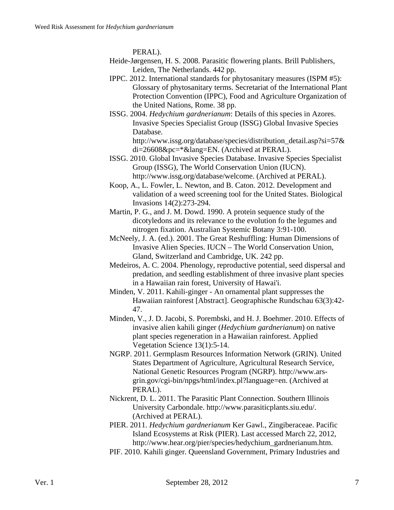PERAL).

- Heide-Jørgensen, H. S. 2008. Parasitic flowering plants. Brill Publishers, Leiden, The Netherlands. 442 pp.
- IPPC. 2012. International standards for phytosanitary measures (ISPM #5): Glossary of phytosanitary terms. Secretariat of the International Plant Protection Convention (IPPC), Food and Agriculture Organization of the United Nations, Rome. 38 pp.
- ISSG. 2004. *Hedychium gardnerianum*: Details of this species in Azores. Invasive Species Specialist Group (ISSG) Global Invasive Species Database.

http://www.issg.org/database/species/distribution\_detail.asp?si=57& di=26608&pc=\*&lang=EN. (Archived at PERAL).

- ISSG. 2010. Global Invasive Species Database. Invasive Species Specialist Group (ISSG), The World Conservation Union (IUCN). http://www.issg.org/database/welcome. (Archived at PERAL).
- Koop, A., L. Fowler, L. Newton, and B. Caton. 2012. Development and validation of a weed screening tool for the United States. Biological Invasions 14(2):273-294.
- Martin, P. G., and J. M. Dowd. 1990. A protein sequence study of the dicotyledons and its relevance to the evolution fo the legumes and nitrogen fixation. Australian Systemic Botany 3:91-100.
- McNeely, J. A. (ed.). 2001. The Great Reshuffling: Human Dimensions of Invasive Alien Species. IUCN – The World Conservation Union, Gland, Switzerland and Cambridge, UK. 242 pp.
- Medeiros, A. C. 2004. Phenology, reproductive potential, seed dispersal and predation, and seedling establishment of three invasive plant species in a Hawaiian rain forest, University of Hawai'i.
- Minden, V. 2011. Kahili-ginger An ornamental plant suppresses the Hawaiian rainforest [Abstract]. Geographische Rundschau 63(3):42- 47.
- Minden, V., J. D. Jacobi, S. Porembski, and H. J. Boehmer. 2010. Effects of invasive alien kahili ginger (*Hedychium gardnerianum*) on native plant species regeneration in a Hawaiian rainforest. Applied Vegetation Science 13(1):5-14.
- NGRP. 2011. Germplasm Resources Information Network (GRIN). United States Department of Agriculture, Agricultural Research Service, National Genetic Resources Program (NGRP). http://www.arsgrin.gov/cgi-bin/npgs/html/index.pl?language=en. (Archived at PERAL).
- Nickrent, D. L. 2011. The Parasitic Plant Connection. Southern Illinois University Carbondale. http://www.parasiticplants.siu.edu/. (Archived at PERAL).
- PIER. 2011. *Hedychium gardnerianum* Ker Gawl., Zingiberaceae. Pacific Island Ecosystems at Risk (PIER). Last accessed March 22, 2012, http://www.hear.org/pier/species/hedychium\_gardnerianum.htm.
- PIF. 2010. Kahili ginger. Queensland Government, Primary Industries and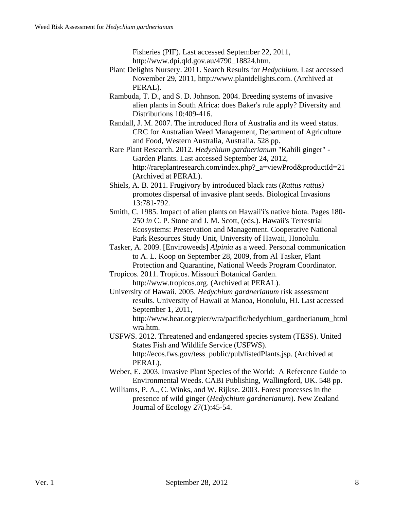Fisheries (PIF). Last accessed September 22, 2011, http://www.dpi.qld.gov.au/4790\_18824.htm.

- Plant Delights Nursery. 2011. Search Results for *Hedychium*. Last accessed November 29, 2011, http://www.plantdelights.com. (Archived at PERAL).
- Rambuda, T. D., and S. D. Johnson. 2004. Breeding systems of invasive alien plants in South Africa: does Baker's rule apply? Diversity and Distributions 10:409-416.
- Randall, J. M. 2007. The introduced flora of Australia and its weed status. CRC for Australian Weed Management, Department of Agriculture and Food, Western Australia, Australia. 528 pp.

Rare Plant Research. 2012. *Hedychium gardnerianum* "Kahili ginger" - Garden Plants. Last accessed September 24, 2012, http://rareplantresearch.com/index.php?\_a=viewProd&productId=21 (Archived at PERAL).

- Shiels, A. B. 2011. Frugivory by introduced black rats (*Rattus rattus)* promotes dispersal of invasive plant seeds. Biological Invasions 13:781-792.
- Smith, C. 1985. Impact of alien plants on Hawaii'i's native biota. Pages 180- 250 *in* C. P. Stone and J. M. Scott, (eds.). Hawaii's Terrestrial Ecosystems: Preservation and Management. Cooperative National Park Resources Study Unit, University of Hawaii, Honolulu.
- Tasker, A. 2009. [Enviroweeds] *Alpinia* as a weed. Personal communication to A. L. Koop on September 28, 2009, from Al Tasker, Plant Protection and Quarantine, National Weeds Program Coordinator.
- Tropicos. 2011. Tropicos. Missouri Botanical Garden. http://www.tropicos.org. (Archived at PERAL).
- University of Hawaii. 2005. *Hedychium gardnerianum* risk assessment results. University of Hawaii at Manoa, Honolulu, HI. Last accessed September 1, 2011,

http://www.hear.org/pier/wra/pacific/hedychium\_gardnerianum\_html wra.htm.

- USFWS. 2012. Threatened and endangered species system (TESS). United States Fish and Wildlife Service (USFWS). http://ecos.fws.gov/tess\_public/pub/listedPlants.jsp. (Archived at PERAL).
- Weber, E. 2003. Invasive Plant Species of the World: A Reference Guide to Environmental Weeds. CABI Publishing, Wallingford, UK. 548 pp.
- Williams, P. A., C. Winks, and W. Rijkse. 2003. Forest processes in the presence of wild ginger (*Hedychium gardnerianum*). New Zealand Journal of Ecology 27(1):45-54.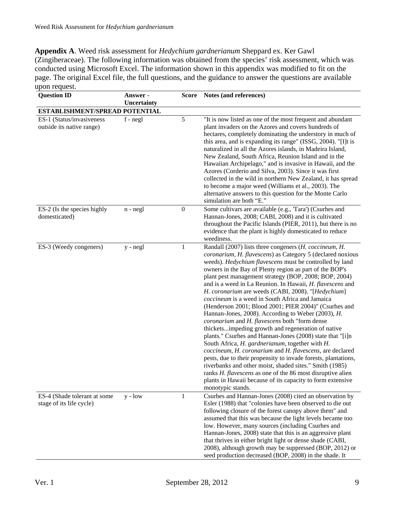**Appendix A**. Weed risk assessment for *Hedychium gardnerianum* Sheppard ex. Ker Gawl (Zingiberaceae). The following information was obtained from the species' risk assessment, which was conducted using Microsoft Excel. The information shown in this appendix was modified to fit on the page. The original Excel file, the full questions, and the guidance to answer the questions are available upon request.

| <b>Question ID</b>                                       | Answer -<br>Uncertainty | <b>Score</b>     | Notes (and references)                                                                                                                                                                                                                                                                                                                                                                                                                                                                                                                                                                                                                                                                                                                                                                                                                                                                                                                                                                                                                                                                                                                                                           |
|----------------------------------------------------------|-------------------------|------------------|----------------------------------------------------------------------------------------------------------------------------------------------------------------------------------------------------------------------------------------------------------------------------------------------------------------------------------------------------------------------------------------------------------------------------------------------------------------------------------------------------------------------------------------------------------------------------------------------------------------------------------------------------------------------------------------------------------------------------------------------------------------------------------------------------------------------------------------------------------------------------------------------------------------------------------------------------------------------------------------------------------------------------------------------------------------------------------------------------------------------------------------------------------------------------------|
| ESTABLISHMENT/SPREAD POTENTIAL                           |                         |                  |                                                                                                                                                                                                                                                                                                                                                                                                                                                                                                                                                                                                                                                                                                                                                                                                                                                                                                                                                                                                                                                                                                                                                                                  |
| ES-1 (Status/invasiveness<br>outside its native range)   | $f - negl$              | 5                | "It is now listed as one of the most frequent and abundant<br>plant invaders on the Azores and covers hundreds of<br>hectares, completely dominating the understory in much of<br>this area, and is expanding its range" (ISSG, 2004). "[I]t is<br>naturalized in all the Azores islands, in Madeira Island,<br>New Zealand, South Africa, Reunion Island and in the<br>Hawaiian Archipelago," and is invasive in Hawaii, and the<br>Azores (Corderio and Silva, 2003). Since it was first<br>collected in the wild in northern New Zealand, it has spread<br>to become a major weed (Williams et al., 2003). The<br>alternative answers to this question for the Monte Carlo<br>simulation are both "E."                                                                                                                                                                                                                                                                                                                                                                                                                                                                        |
| ES-2 (Is the species highly<br>domesticated)             | $n - negl$              | $\boldsymbol{0}$ | Some cultivars are available (e.g., 'Tara') (Csurhes and<br>Hannan-Jones, 2008; CABI, 2008) and it is cultivated<br>throughout the Pacific Islands (PIER, 2011), but there is no<br>evidence that the plant is highly domesticated to reduce<br>weediness.                                                                                                                                                                                                                                                                                                                                                                                                                                                                                                                                                                                                                                                                                                                                                                                                                                                                                                                       |
| ES-3 (Weedy congeners)                                   | y - negl                | 1                | Randall (2007) lists three congeners ( <i>H. coccineum</i> , <i>H.</i><br>coronarium, H. flavescens) as Category 5 (declared noxious<br>weeds). Hedychium flavescens must be controlled by land<br>owners in the Bay of Plenty region as part of the BOP's<br>plant pest management strategy (BOP, 2008; BOP, 2004)<br>and is a weed in La Reunion. In Hawaii, H. flavescens and<br>H. coronarium are weeds (CABI, 2008). "[Hedychium]<br>coccineum is a weed in South Africa and Jamaica<br>(Henderson 2001; Blood 2001; PIER 2004)" (Csurhes and<br>Hannan-Jones, 2008). According to Weber (2003), H.<br>coronarium and H. flavescens both "form dense<br>thicketsimpeding growth and regeneration of native<br>plants." Csurhes and Hannan-Jones (2008) state that "[i]n<br>South Africa, H. gardnerianum, together with H.<br>coccineum, H. coronarium and H. flavescens, are declared<br>pests, due to their propensity to invade forests, plantations,<br>riverbanks and other moist, shaded sites." Smith (1985)<br>ranks <i>H. flavescens</i> as one of the 86 most disruptive alien<br>plants in Hawaii because of its capacity to form extensive<br>monotypic stands. |
| ES-4 (Shade tolerant at some<br>stage of its life cycle) | $y - low$               | 1                | Csurhes and Hannan-Jones (2008) cited an observation by<br>Esler (1988) that "colonies have been observed to die out<br>following closure of the forest canopy above them" and<br>assumed that this was because the light levels became too<br>low. However, many sources (including Csurhes and<br>Hannan-Jones, 2008) state that this is an aggressive plant<br>that thrives in either bright light or dense shade (CABI,<br>2008), although growth may be suppressed (BOP, 2012) or<br>seed production decreased (BOP, 2008) in the shade. It                                                                                                                                                                                                                                                                                                                                                                                                                                                                                                                                                                                                                                 |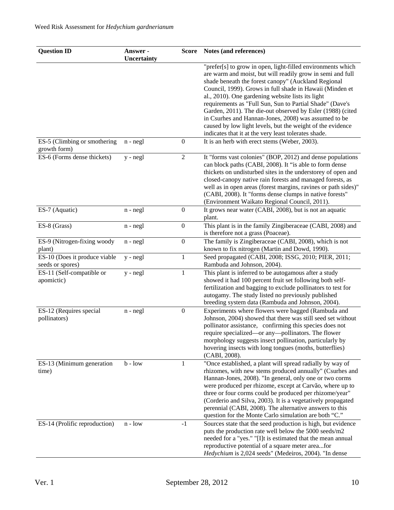| <b>Question ID</b>                                | Answer -<br>Uncertainty |                  | Score Notes (and references)                                                                                                                                                                                                                                                                                                                                                                                                                                                                                                                                                                              |
|---------------------------------------------------|-------------------------|------------------|-----------------------------------------------------------------------------------------------------------------------------------------------------------------------------------------------------------------------------------------------------------------------------------------------------------------------------------------------------------------------------------------------------------------------------------------------------------------------------------------------------------------------------------------------------------------------------------------------------------|
|                                                   |                         |                  | "prefer[s] to grow in open, light-filled environments which<br>are warm and moist, but will readily grow in semi and full<br>shade beneath the forest canopy" (Auckland Regional<br>Council, 1999). Grows in full shade in Hawaii (Minden et<br>al., 2010). One gardening website lists its light<br>requirements as "Full Sun, Sun to Partial Shade" (Dave's<br>Garden, 2011). The die-out observed by Esler (1988) (cited<br>in Csurhes and Hannan-Jones, 2008) was assumed to be<br>caused by low light levels, but the weight of the evidence<br>indicates that it at the very least tolerates shade. |
| ES-5 (Climbing or smothering<br>growth form)      | $n - negl$              | $\boldsymbol{0}$ | It is an herb with erect stems (Weber, 2003).                                                                                                                                                                                                                                                                                                                                                                                                                                                                                                                                                             |
| ES-6 (Forms dense thickets)                       | $y - negl$              | $\overline{2}$   | It "forms vast colonies" (BOP, 2012) and dense populations<br>can block paths (CABI, 2008). It "is able to form dense<br>thickets on undisturbed sites in the understorey of open and<br>closed-canopy native rain forests and managed forests, as<br>well as in open areas (forest margins, ravines or path sides)"<br>(CABI, 2008). It "forms dense clumps in native forests"<br>(Environment Waikato Regional Council, 2011).                                                                                                                                                                          |
| ES-7 (Aquatic)                                    | $n - negl$              | $\boldsymbol{0}$ | It grows near water (CABI, 2008), but is not an aquatic<br>plant.                                                                                                                                                                                                                                                                                                                                                                                                                                                                                                                                         |
| ES-8 (Grass)                                      | $n - negl$              | $\boldsymbol{0}$ | This plant is in the family Zingiberaceae (CABI, 2008) and<br>is therefore not a grass (Poaceae).                                                                                                                                                                                                                                                                                                                                                                                                                                                                                                         |
| ES-9 (Nitrogen-fixing woody<br>plant)             | n - negl                | $\boldsymbol{0}$ | The family is Zingiberaceae (CABI, 2008), which is not<br>known to fix nitrogen (Martin and Dowd, 1990).                                                                                                                                                                                                                                                                                                                                                                                                                                                                                                  |
| ES-10 (Does it produce viable<br>seeds or spores) | $y - negl$              | $\mathbf{1}$     | Seed propagated (CABI, 2008; ISSG, 2010; PIER, 2011;<br>Rambuda and Johnson, 2004).                                                                                                                                                                                                                                                                                                                                                                                                                                                                                                                       |
| ES-11 (Self-compatible or<br>apomictic)           | y - negl                | $\mathbf{1}$     | This plant is inferred to be autogamous after a study<br>showed it had 100 percent fruit set following both self-<br>fertilization and bagging to exclude pollinators to test for<br>autogamy. The study listed no previously published<br>breeding system data (Rambuda and Johnson, 2004).                                                                                                                                                                                                                                                                                                              |
| ES-12 (Requires special<br>pollinators)           | $n - negl$              | $\boldsymbol{0}$ | Experiments where flowers were bagged (Rambuda and<br>Johnson, 2004) showed that there was still seed set without<br>pollinator assistance, confirming this species does not<br>require specialized—or any—pollinators. The flower<br>morphology suggests insect pollination, particularly by<br>hovering insects with long tongues (moths, butterflies)<br>(CABI, 2008).                                                                                                                                                                                                                                 |
| ES-13 (Minimum generation<br>time)                | $b - low$               | 1                | "Once established, a plant will spread radially by way of<br>rhizomes, with new stems produced annually" (Csurhes and<br>Hannan-Jones, 2008). "In general, only one or two corms<br>were produced per rhizome, except at Carvão, where up to<br>three or four corms could be produced per rhizome/year"<br>(Corderio and Silva, 2003). It is a vegetatively propagated<br>perennial (CABI, 2008). The alternative answers to this<br>question for the Monte Carlo simulation are both "C."                                                                                                                |
| ES-14 (Prolific reproduction)                     | $n - low$               | $-1$             | Sources state that the seed production is high, but evidence<br>puts the production rate well below the 5000 seeds/m2<br>needed for a "yes." "[I]t is estimated that the mean annual<br>reproductive potential of a square meter areafor<br>Hedychium is 2,024 seeds" (Medeiros, 2004). "In dense                                                                                                                                                                                                                                                                                                         |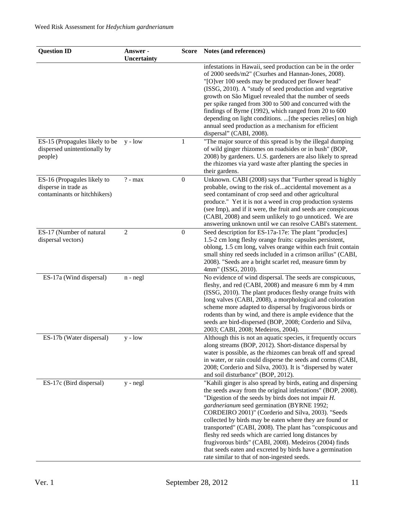| <b>Question ID</b>                                                                  | Answer -<br>Uncertainty |                  | Score Notes (and references)                                                                                                                                                                                                                                                                                                                                                                                                                                                                                                                                                                                                                     |
|-------------------------------------------------------------------------------------|-------------------------|------------------|--------------------------------------------------------------------------------------------------------------------------------------------------------------------------------------------------------------------------------------------------------------------------------------------------------------------------------------------------------------------------------------------------------------------------------------------------------------------------------------------------------------------------------------------------------------------------------------------------------------------------------------------------|
|                                                                                     |                         |                  | infestations in Hawaii, seed production can be in the order<br>of 2000 seeds/m2" (Csurhes and Hannan-Jones, 2008).<br>"[O]ver 100 seeds may be produced per flower head"<br>(ISSG, 2010). A "study of seed production and vegetative                                                                                                                                                                                                                                                                                                                                                                                                             |
|                                                                                     |                         |                  | growth on São Miguel revealed that the number of seeds<br>per spike ranged from 300 to 500 and concurred with the<br>findings of Byrne (1992), which ranged from 20 to 600<br>depending on light conditions. [the species relies] on high<br>annual seed production as a mechanism for efficient<br>dispersal" (CABI, 2008).                                                                                                                                                                                                                                                                                                                     |
| ES-15 (Propagules likely to be<br>dispersed unintentionally by<br>people)           | $y - low$               | 1                | "The major source of this spread is by the illegal dumping<br>of wild ginger rhizomes on roadsides or in bush" (BOP,<br>2008) by gardeners. U.S. gardeners are also likely to spread<br>the rhizomes via yard waste after planting the species in<br>their gardens.                                                                                                                                                                                                                                                                                                                                                                              |
| ES-16 (Propagules likely to<br>disperse in trade as<br>contaminants or hitchhikers) | $? - max$               | $\boldsymbol{0}$ | Unknown. CABI (2008) says that "Further spread is highly<br>probable, owing to the risk ofaccidental movement as a<br>seed contaminant of crop seed and other agricultural<br>produce." Yet it is not a weed in crop production systems<br>(see Imp), and if it were, the fruit and seeds are conspicuous<br>(CABI, 2008) and seem unlikely to go unnoticed. We are<br>answering unknown until we can resolve CABI's statement.                                                                                                                                                                                                                  |
| ES-17 (Number of natural<br>dispersal vectors)                                      | 2                       | $\boldsymbol{0}$ | Seed description for ES-17a-17e: The plant "produc[es]<br>1.5-2 cm long fleshy orange fruits: capsules persistent,<br>oblong, 1.5 cm long, valves orange within each fruit contain<br>small shiny red seeds included in a crimson arillus" (CABI,<br>2008). "Seeds are a bright scarlet red, measure 6mm by<br>4mm" (ISSG, 2010).                                                                                                                                                                                                                                                                                                                |
| ES-17a (Wind dispersal)                                                             | $n - negl$              |                  | No evidence of wind dispersal. The seeds are conspicuous,<br>fleshy, and red (CABI, 2008) and measure 6 mm by 4 mm<br>(ISSG, 2010). The plant produces fleshy orange fruits with<br>long valves (CABI, 2008), a morphological and coloration<br>scheme more adapted to dispersal by frugivorous birds or<br>rodents than by wind, and there is ample evidence that the<br>seeds are bird-dispersed (BOP, 2008; Corderio and Silva,<br>2003; CABI, 2008; Medeiros, 2004).                                                                                                                                                                         |
| ES-17b (Water dispersal)                                                            | $y - low$               |                  | Although this is not an aquatic species, it frequently occurs<br>along streams (BOP, 2012). Short-distance dispersal by<br>water is possible, as the rhizomes can break off and spread<br>in water, or rain could disperse the seeds and corms (CABI,<br>2008; Corderio and Silva, 2003). It is "dispersed by water<br>and soil disturbance" (BOP, 2012).                                                                                                                                                                                                                                                                                        |
| ES-17c (Bird dispersal)                                                             | $y - negl$              |                  | "Kahili ginger is also spread by birds, eating and dispersing<br>the seeds away from the original infestations" (BOP, 2008).<br>"Digestion of the seeds by birds does not impair $H$ .<br>gardnerianum seed germination (BYRNE 1992;<br>CORDEIRO 2001)" (Corderio and Silva, 2003). "Seeds<br>collected by birds may be eaten where they are found or<br>transported" (CABI, 2008). The plant has "conspicuous and<br>fleshy red seeds which are carried long distances by<br>frugivorous birds" (CABI, 2008). Medeiros (2004) finds<br>that seeds eaten and excreted by birds have a germination<br>rate similar to that of non-ingested seeds. |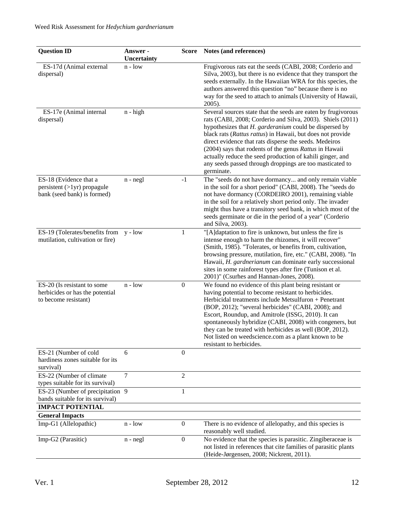| <b>Question ID</b>                                                                              | Answer -<br>Uncertainty |                  | Score Notes (and references)                                                                                                                                                                                                                                                                                                                                                                                                                                                                                   |
|-------------------------------------------------------------------------------------------------|-------------------------|------------------|----------------------------------------------------------------------------------------------------------------------------------------------------------------------------------------------------------------------------------------------------------------------------------------------------------------------------------------------------------------------------------------------------------------------------------------------------------------------------------------------------------------|
| ES-17d (Animal external<br>dispersal)                                                           | $n - low$               |                  | Frugivorous rats eat the seeds (CABI, 2008; Corderio and<br>Silva, 2003), but there is no evidence that they transport the<br>seeds externally. In the Hawaiian WRA for this species, the<br>authors answered this question "no" because there is no<br>way for the seed to attach to animals (University of Hawaii,<br>2005).                                                                                                                                                                                 |
| ES-17e (Animal internal<br>dispersal)                                                           | $n - high$              |                  | Several sources state that the seeds are eaten by frugivorous<br>rats (CABI, 2008; Corderio and Silva, 2003). Shiels (2011)<br>hypothesizes that H. garderanium could be dispersed by<br>black rats (Rattus rattus) in Hawaii, but does not provide<br>direct evidence that rats disperse the seeds. Medeiros<br>(2004) says that rodents of the genus Rattus in Hawaii<br>actually reduce the seed production of kahili ginger, and<br>any seeds passed through droppings are too masticated to<br>germinate. |
| ES-18 (Evidence that a<br>$persistent (>1yr)$ propagule<br>bank (seed bank) is formed)          | $n - negl$              | $-1$             | The "seeds do not have dormancy and only remain viable<br>in the soil for a short period" (CABI, 2008). The "seeds do<br>not have dormancy (CORDEIRO 2001), remaining viable<br>in the soil for a relatively short period only. The invader<br>might thus have a transitory seed bank, in which most of the<br>seeds germinate or die in the period of a year" (Corderio<br>and Silva, 2003).                                                                                                                  |
| ES-19 (Tolerates/benefits from<br>mutilation, cultivation or fire)                              | $y - low$               | 1                | "[A]daptation to fire is unknown, but unless the fire is<br>intense enough to harm the rhizomes, it will recover"<br>(Smith, 1985). "Tolerates, or benefits from, cultivation,<br>browsing pressure, mutilation, fire, etc." (CABI, 2008). "In<br>Hawaii, H. gardnerianum can dominate early successional<br>sites in some rainforest types after fire (Tunison et al.<br>2001)" (Csurhes and Hannan-Jones, 2008).                                                                                             |
| ES-20 (Is resistant to some<br>herbicides or has the potential<br>to become resistant)          | $n - low$               | $\boldsymbol{0}$ | We found no evidence of this plant being resistant or<br>having potential to become resistant to herbicides.<br>Herbicidal treatments include Metsulfuron + Penetrant<br>(BOP, 2012); "several herbicides" (CABI, 2008); and<br>Escort, Roundup, and Amitrole (ISSG, 2010). It can<br>spontaneously hybridize (CABI, 2008) with congeners, but<br>they can be treated with herbicides as well (BOP, 2012).<br>Not listed on weedscience.com as a plant known to be<br>resistant to herbicides.                 |
| ES-21 (Number of cold<br>hardiness zones suitable for its<br>survival)                          | 6                       | $\boldsymbol{0}$ |                                                                                                                                                                                                                                                                                                                                                                                                                                                                                                                |
| ES-22 (Number of climate<br>types suitable for its survival)                                    | $\overline{7}$          | $\overline{2}$   |                                                                                                                                                                                                                                                                                                                                                                                                                                                                                                                |
| ES-23 (Number of precipitation 9<br>bands suitable for its survival)<br><b>IMPACT POTENTIAL</b> |                         |                  |                                                                                                                                                                                                                                                                                                                                                                                                                                                                                                                |
| <b>General Impacts</b>                                                                          |                         |                  |                                                                                                                                                                                                                                                                                                                                                                                                                                                                                                                |
| Imp-G1 (Allelopathic)                                                                           | $n - low$               | $\mathbf{0}$     | There is no evidence of allelopathy, and this species is<br>reasonably well studied.                                                                                                                                                                                                                                                                                                                                                                                                                           |
| Imp-G2 (Parasitic)                                                                              | $n - negl$              | $\boldsymbol{0}$ | No evidence that the species is parasitic. Zingiberaceae is<br>not listed in references that cite families of parasitic plants<br>(Heide-Jørgensen, 2008; Nickrent, 2011).                                                                                                                                                                                                                                                                                                                                     |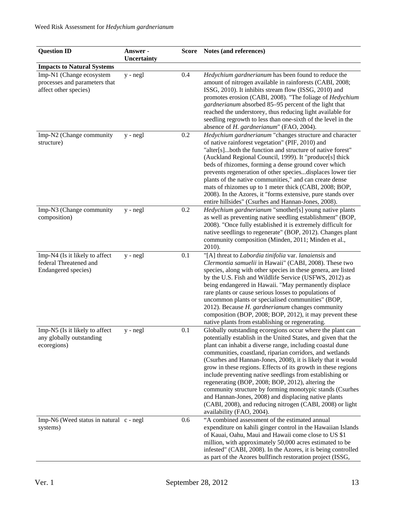| <b>Question ID</b>                                                                 | Answer -<br>Uncertainty |     | Score Notes (and references)                                                                                                                                                                                                                                                                                                                                                                                                                                                                                                                                                                                                                                                                                         |
|------------------------------------------------------------------------------------|-------------------------|-----|----------------------------------------------------------------------------------------------------------------------------------------------------------------------------------------------------------------------------------------------------------------------------------------------------------------------------------------------------------------------------------------------------------------------------------------------------------------------------------------------------------------------------------------------------------------------------------------------------------------------------------------------------------------------------------------------------------------------|
| <b>Impacts to Natural Systems</b>                                                  |                         |     |                                                                                                                                                                                                                                                                                                                                                                                                                                                                                                                                                                                                                                                                                                                      |
| Imp-N1 (Change ecosystem<br>processes and parameters that<br>affect other species) | $y - negl$              | 0.4 | Hedychium gardnerianum has been found to reduce the<br>amount of nitrogen available in rainforests (CABI, 2008;<br>ISSG, 2010). It inhibits stream flow (ISSG, 2010) and<br>promotes erosion (CABI, 2008). "The foliage of Hedychium<br>gardnerianum absorbed 85-95 percent of the light that<br>reached the understorey, thus reducing light available for<br>seedling regrowth to less than one-sixth of the level in the<br>absence of H. gardnerianum" (FAO, 2004).                                                                                                                                                                                                                                              |
| Imp-N2 (Change community<br>structure)                                             | y - negl                | 0.2 | Hedychium gardnerianum "changes structure and character<br>of native rainforest vegetation" (PIF, 2010) and<br>"alter[s]both the function and structure of native forest"<br>(Auckland Regional Council, 1999). It "produce[s] thick<br>beds of rhizomes, forming a dense ground cover which<br>prevents regeneration of other speciesdisplaces lower tier<br>plants of the native communities," and can create dense<br>mats of rhizomes up to 1 meter thick (CABI, 2008; BOP,<br>2008). In the Azores, it "forms extensive, pure stands over<br>entire hillsides" (Csurhes and Hannan-Jones, 2008).                                                                                                                |
| Imp-N3 (Change community<br>composition)                                           | $y - negl$              | 0.2 | Hedychium gardnerianum "smother[s] young native plants<br>as well as preventing native seedling establishment" (BOP,<br>2008). "Once fully established it is extremely difficult for<br>native seedlings to regenerate" (BOP, 2012). Changes plant<br>community composition (Minden, 2011; Minden et al.,<br>2010).                                                                                                                                                                                                                                                                                                                                                                                                  |
| Imp-N4 (Is it likely to affect<br>federal Threatened and<br>Endangered species)    | y - negl                | 0.1 | "[A] threat to Labordia tinifolia var. lanaiensis and<br>Clermontia samuelii in Hawaii" (CABI, 2008). These two<br>species, along with other species in these genera, are listed<br>by the U.S. Fish and Wildlife Service (USFWS, 2012) as<br>being endangered in Hawaii. "May permanently displace<br>rare plants or cause serious losses to populations of<br>uncommon plants or specialised communities" (BOP,<br>2012). Because H. gardnerianum changes community<br>composition (BOP, 2008; BOP, 2012), it may prevent these<br>native plants from establishing or regenerating.                                                                                                                                |
| Imp-N5 (Is it likely to affect<br>any globally outstanding<br>ecoregions)          | y - negl                | 0.1 | Globally outstanding ecoregions occur where the plant can<br>potentially establish in the United States, and given that the<br>plant can inhabit a diverse range, including coastal dune<br>communities, coastland, riparian corridors, and wetlands<br>(Csurhes and Hannan-Jones, 2008), it is likely that it would<br>grow in these regions. Effects of its growth in these regions<br>include preventing native seedlings from establishing or<br>regenerating (BOP, 2008; BOP, 2012), altering the<br>community structure by forming monotypic stands (Csurhes<br>and Hannan-Jones, 2008) and displacing native plants<br>(CABI, 2008), and reducing nitrogen (CABI, 2008) or light<br>availability (FAO, 2004). |
| Imp-N6 (Weed status in natural c - negl<br>systems)                                |                         | 0.6 | "A combined assessment of the estimated annual<br>expenditure on kahili ginger control in the Hawaiian Islands<br>of Kauai, Oahu, Maui and Hawaii come close to US \$1<br>million, with approximately 50,000 acres estimated to be<br>infested" (CABI, 2008). In the Azores, it is being controlled<br>as part of the Azores bullfinch restoration project (ISSG,                                                                                                                                                                                                                                                                                                                                                    |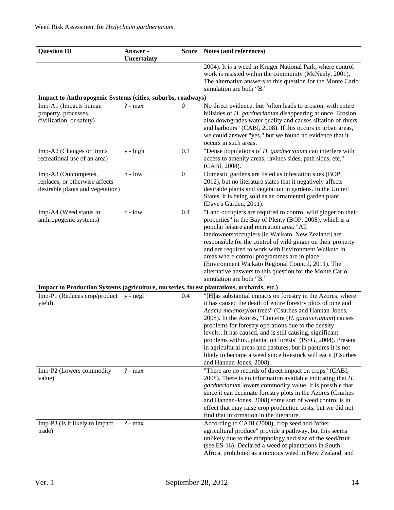| <b>Question ID</b>                                                                         | Answer -<br>Uncertainty | <b>Score</b>     | Notes (and references)                                                                                                                                                                                                                                                                                                                                                                                                                                                                                                                                                                      |
|--------------------------------------------------------------------------------------------|-------------------------|------------------|---------------------------------------------------------------------------------------------------------------------------------------------------------------------------------------------------------------------------------------------------------------------------------------------------------------------------------------------------------------------------------------------------------------------------------------------------------------------------------------------------------------------------------------------------------------------------------------------|
|                                                                                            |                         |                  | 2004). It is a weed in Kruger National Park, where control<br>work is resisted within the community (McNeely, 2001).<br>The alternative answers to this question for the Monte Carlo<br>simulation are both "B."                                                                                                                                                                                                                                                                                                                                                                            |
| Impact to Anthropogenic Systems (cities, suburbs, roadways)                                |                         |                  |                                                                                                                                                                                                                                                                                                                                                                                                                                                                                                                                                                                             |
| Imp-A1 (Impacts human<br>property, processes,<br>civilization, or safety)                  | $? - max$               | $\Omega$         | No direct evidence, but "often leads to erosion, with entire<br>hillsides of H. gardnerianum disappearing at once. Erosion<br>also downgrades water quality and causes siltation of rivers<br>and harbours" (CABI, 2008). If this occurs in urban areas,<br>we could answer "yes," but we found no evidence that it<br>occurs in such areas.                                                                                                                                                                                                                                                |
| Imp-A2 (Changes or limits<br>recreational use of an area)                                  | y - high                | 0.1              | "Dense populations of H. gardnerianum can interfere with<br>access to amenity areas, ravines sides, path sides, etc."<br>(CABI, 2008).                                                                                                                                                                                                                                                                                                                                                                                                                                                      |
| Imp-A3 (Outcompetes,<br>replaces, or otherwise affects<br>desirable plants and vegetation) | $n - low$               | $\boldsymbol{0}$ | Domestic gardens are listed as infestation sites (BOP,<br>2012), but no literature states that it negatively affects<br>desirable plants and vegetation in gardens. In the United<br>States, it is being sold as an ornamental garden plant<br>(Dave's Garden, 2011).                                                                                                                                                                                                                                                                                                                       |
| Imp-A4 (Weed status in<br>anthropogenic systems)                                           | $c - low$               | 0.4              | "Land occupiers are required to control wild ginger on their<br>properties" in the Bay of Plenty (BOP, 2008), which is a<br>popular leisure and recreation area. "All<br>landowners/occupiers [in Waikato, New Zealand] are<br>responsible for the control of wild ginger on their property<br>and are required to work with Environment Waikato in<br>areas where control programmes are in place"<br>(Environment Waikato Regional Council, 2011). The<br>alternative answers to this question for the Monte Carlo<br>simulation are both "B."                                            |
| Impact to Production Systems (agriculture, nurseries, forest plantations, orchards, etc.)  |                         |                  |                                                                                                                                                                                                                                                                                                                                                                                                                                                                                                                                                                                             |
| Imp-P1 (Reduces crop/product<br>yield)                                                     | $y - negl$              | 0.4              | "[H]as substantial impacts on forestry in the Azores, where<br>it has caused the death of entire forestry plots of pine and<br>Acacia melanoxylon trees" (Csurhes and Hannan-Jones,<br>2008). In the Azores, "Conteira $(H. gardnerianum)$ causes<br>problems for forestry operations due to the density<br>levelsIt has caused, and is still causing, significant<br>problems withinplantation forests" (ISSG, 2004). Present<br>in agricultural areas and pastures, but in pastures it is not<br>likely to become a weed since livestock will eat it (Csurhes<br>and Hannan-Jones, 2008). |
| Imp-P2 (Lowers commodity<br>value)                                                         | $? - max$               |                  | "There are no records of direct impact on crops" (CABI,<br>2008). There is no information available indicating that $H$ .<br>gardnerianum lowers commodity value. It is possible that<br>since it can decimate forestry plots in the Azores (Csurhes<br>and Hannan-Jones, 2008) some sort of weed control is in<br>effect that may raise crop production costs, but we did not<br>find that information in the literature.                                                                                                                                                                  |
| Imp-P3 (Is it likely to impact<br>trade)                                                   | $? - max$               |                  | According to CABI (2008), crop seed and "other<br>agricultural produce" provide a pathway, but this seems<br>unlikely due to the morphology and size of the seed/fruit<br>(see ES-16). Declared a weed of plantations in South<br>Africa, prohibited as a noxious weed in New Zealand, and                                                                                                                                                                                                                                                                                                  |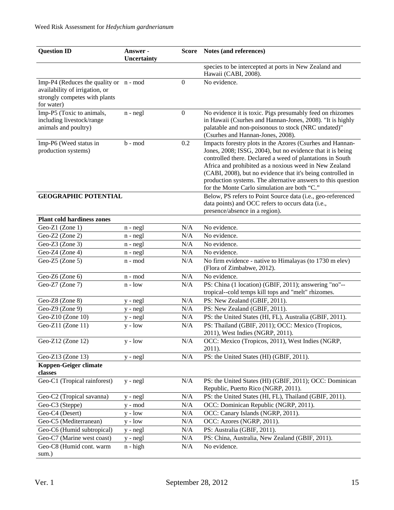| <b>Question ID</b>                                                                                                        | Answer -<br>Uncertainty |              | Score Notes (and references)                                                                                                                                                                                                                                                                                                                                                                                                  |
|---------------------------------------------------------------------------------------------------------------------------|-------------------------|--------------|-------------------------------------------------------------------------------------------------------------------------------------------------------------------------------------------------------------------------------------------------------------------------------------------------------------------------------------------------------------------------------------------------------------------------------|
|                                                                                                                           |                         |              | species to be intercepted at ports in New Zealand and<br>Hawaii (CABI, 2008).                                                                                                                                                                                                                                                                                                                                                 |
| Imp-P4 (Reduces the quality or $n - mod$<br>availability of irrigation, or<br>strongly competes with plants<br>for water) |                         | $\mathbf{0}$ | No evidence.                                                                                                                                                                                                                                                                                                                                                                                                                  |
| Imp-P5 (Toxic to animals,<br>including livestock/range<br>animals and poultry)                                            | $n - negl$              | $\mathbf{0}$ | No evidence it is toxic. Pigs presumably feed on rhizomes<br>in Hawaii (Csurhes and Hannan-Jones, 2008). "It is highly<br>palatable and non-poisonous to stock (NRC undated)"<br>(Csurhes and Hannan-Jones, 2008).                                                                                                                                                                                                            |
| Imp-P6 (Weed status in<br>production systems)                                                                             | b - mod                 | 0.2          | Impacts forestry plots in the Azores (Csurhes and Hannan-<br>Jones, 2008; ISSG, 2004), but no evidence that it is being<br>controlled there. Declared a weed of plantations in South<br>Africa and prohibited as a noxious weed in New Zealand<br>(CABI, 2008), but no evidence that it's being controlled in<br>production systems. The alternative answers to this question<br>for the Monte Carlo simulation are both "C." |
| <b>GEOGRAPHIC POTENTIAL</b>                                                                                               |                         |              | Below, PS refers to Point Source data (i.e., geo-referenced<br>data points) and OCC refers to occurs data (i.e.,<br>presence/absence in a region).                                                                                                                                                                                                                                                                            |
| <b>Plant cold hardiness zones</b>                                                                                         |                         |              |                                                                                                                                                                                                                                                                                                                                                                                                                               |
| Geo-Z1 (Zone 1)                                                                                                           | n - negl                | N/A          | No evidence.                                                                                                                                                                                                                                                                                                                                                                                                                  |
| Geo-Z2 (Zone 2)                                                                                                           | $n - negl$              | N/A          | No evidence.                                                                                                                                                                                                                                                                                                                                                                                                                  |
| Geo-Z $3$ (Zone 3)                                                                                                        | $n - negl$              | N/A          | No evidence.                                                                                                                                                                                                                                                                                                                                                                                                                  |
| Geo-Z4 (Zone 4)                                                                                                           | n - negl                | N/A          | No evidence.                                                                                                                                                                                                                                                                                                                                                                                                                  |
| Geo-Z5 $(Zone 5)$                                                                                                         | n - mod                 | N/A          | No firm evidence - native to Himalayas (to 1730 m elev)<br>(Flora of Zimbabwe, 2012).                                                                                                                                                                                                                                                                                                                                         |
| Geo-Z6 (Zone 6)                                                                                                           | n - mod                 | N/A          | No evidence.                                                                                                                                                                                                                                                                                                                                                                                                                  |
| Geo-Z7 (Zone 7)                                                                                                           | $n - low$               | N/A          | PS: China (1 location) (GBIF, 2011); answering "no"--<br>tropical--cold temps kill tops and "melt" rhizomes.                                                                                                                                                                                                                                                                                                                  |
| Geo-Z8 (Zone 8)                                                                                                           | y - negl                | N/A          | PS: New Zealand (GBIF, 2011).                                                                                                                                                                                                                                                                                                                                                                                                 |
| Geo-Z9 (Zone 9)                                                                                                           | $y - negl$              | N/A          | PS: New Zealand (GBIF, 2011).                                                                                                                                                                                                                                                                                                                                                                                                 |
| Geo-Z10 (Zone $10$ )                                                                                                      | y - negl                | N/A          | PS: the United States (HI, FL), Australia (GBIF, 2011).                                                                                                                                                                                                                                                                                                                                                                       |
| Geo-Z11 (Zone 11)                                                                                                         | $y - low$               | N/A          | PS: Thailand (GBIF, 2011); OCC: Mexico (Tropicos,<br>2011), West Indies (NGRP, 2011).                                                                                                                                                                                                                                                                                                                                         |
| Geo-Z12 (Zone 12)                                                                                                         | $y - low$               | N/A          | OCC: Mexico (Tropicos, 2011), West Indies (NGRP,<br>2011).                                                                                                                                                                                                                                                                                                                                                                    |
| Geo-Z13 (Zone 13)                                                                                                         | y - negl                | N/A          | PS: the United States (HI) (GBIF, 2011).                                                                                                                                                                                                                                                                                                                                                                                      |
| Koppen-Geiger climate<br>classes                                                                                          |                         |              |                                                                                                                                                                                                                                                                                                                                                                                                                               |
| Geo-C1 (Tropical rainforest)                                                                                              | $y - negl$              | N/A          | PS: the United States (HI) (GBIF, 2011); OCC: Dominican<br>Republic, Puerto Rico (NGRP, 2011).                                                                                                                                                                                                                                                                                                                                |
| Geo-C2 (Tropical savanna)                                                                                                 | y - negl                | N/A          | PS: the United States (HI, FL), Thailand (GBIF, 2011).                                                                                                                                                                                                                                                                                                                                                                        |
| Geo-C3 (Steppe)                                                                                                           | $y - mod$               | N/A          | OCC: Dominican Republic (NGRP, 2011).                                                                                                                                                                                                                                                                                                                                                                                         |
| Geo-C4 (Desert)                                                                                                           | $y - low$               | N/A          | OCC: Canary Islands (NGRP, 2011).                                                                                                                                                                                                                                                                                                                                                                                             |
| Geo-C5 (Mediterranean)                                                                                                    | $y - low$               | N/A          | OCC: Azores (NGRP, 2011).                                                                                                                                                                                                                                                                                                                                                                                                     |
| Geo-C6 (Humid subtropical)                                                                                                | y - negl                | N/A          | PS: Australia (GBIF, 2011).                                                                                                                                                                                                                                                                                                                                                                                                   |
| Geo-C7 (Marine west coast)                                                                                                | y - negl                | N/A          | PS: China, Australia, New Zealand (GBIF, 2011).                                                                                                                                                                                                                                                                                                                                                                               |
| Geo-C8 (Humid cont. warm<br>sum.)                                                                                         | $n - high$              | N/A          | No evidence.                                                                                                                                                                                                                                                                                                                                                                                                                  |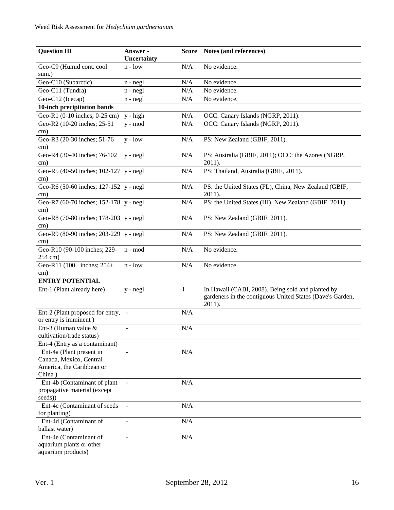| <b>Question ID</b>                                                                         | Answer -<br>Uncertainty | <b>Score</b> | Notes (and references)                                                                                                   |
|--------------------------------------------------------------------------------------------|-------------------------|--------------|--------------------------------------------------------------------------------------------------------------------------|
| Geo-C9 (Humid cont. cool<br>sum.)                                                          | $n - low$               | N/A          | No evidence.                                                                                                             |
| Geo-C10 (Subarctic)                                                                        |                         | N/A          | No evidence.                                                                                                             |
|                                                                                            | $n - negl$              |              | No evidence.                                                                                                             |
| Geo-C11 (Tundra)                                                                           | $n - negl$              | N/A          |                                                                                                                          |
| Geo-C12 (Icecap)                                                                           | $n - negl$              | N/A          | No evidence.                                                                                                             |
| 10-inch precipitation bands                                                                |                         |              |                                                                                                                          |
| Geo-R1 (0-10 inches; 0-25 cm)                                                              | y - high                | N/A          | OCC: Canary Islands (NGRP, 2011).                                                                                        |
| Geo-R2 (10-20 inches; 25-51<br>cm)                                                         | $y - mod$               | N/A          | OCC: Canary Islands (NGRP, 2011).                                                                                        |
| Geo-R3 (20-30 inches; 51-76<br>cm)                                                         | $y - low$               | N/A          | PS: New Zealand (GBIF, 2011).                                                                                            |
| Geo-R4 (30-40 inches; 76-102<br>cm)                                                        | $y - negl$              | N/A          | PS: Australia (GBIF, 2011); OCC: the Azores (NGRP,<br>$2011$ ).                                                          |
| Geo-R5 (40-50 inches; 102-127 y - negl<br>cm)                                              |                         | N/A          | PS: Thailand, Australia (GBIF, 2011).                                                                                    |
| Geo-R6 (50-60 inches; 127-152 y - negl<br>$\text{cm}$ )                                    |                         | N/A          | PS: the United States (FL), China, New Zealand (GBIF,<br>2011).                                                          |
| Geo-R7 (60-70 inches; 152-178 y - negl                                                     |                         | N/A          | PS: the United States (HI), New Zealand (GBIF, 2011).                                                                    |
| cm)<br>Geo-R8 (70-80 inches; 178-203 y - negl                                              |                         | N/A          | PS: New Zealand (GBIF, 2011).                                                                                            |
| $\rm cm)$<br>Geo-R9 (80-90 inches; 203-229 y - negl<br>cm)                                 |                         | N/A          | PS: New Zealand (GBIF, 2011).                                                                                            |
| Geo-R10 (90-100 inches; 229-<br>254 cm)                                                    | n - mod                 | N/A          | No evidence.                                                                                                             |
| Geo-R11 (100+ inches; 254+<br>$\text{cm}$ )                                                | $n - low$               | N/A          | No evidence.                                                                                                             |
| <b>ENTRY POTENTIAL</b>                                                                     |                         |              |                                                                                                                          |
| Ent-1 (Plant already here)                                                                 | $y - negl$              | 1            | In Hawaii (CABI, 2008). Being sold and planted by<br>gardeners in the contiguous United States (Dave's Garden,<br>2011). |
| Ent-2 (Plant proposed for entry, -<br>or entry is imminent)                                |                         | N/A          |                                                                                                                          |
| Ent-3 (Human value $&$<br>cultivation/trade status)                                        |                         | N/A          |                                                                                                                          |
| Ent-4 (Entry as a contaminant)                                                             |                         |              |                                                                                                                          |
| Ent-4a (Plant present in<br>Canada, Mexico, Central<br>America, the Caribbean or<br>China) |                         | N/A          |                                                                                                                          |
| Ent-4b (Contaminant of plant<br>propagative material (except<br>seeds))                    |                         | N/A          |                                                                                                                          |
| Ent-4c (Contaminant of seeds<br>for planting)                                              |                         | N/A          |                                                                                                                          |
| Ent-4d (Contaminant of<br>ballast water)                                                   |                         | N/A          |                                                                                                                          |
| Ent-4e (Contaminant of<br>aquarium plants or other<br>aquarium products)                   |                         | N/A          |                                                                                                                          |